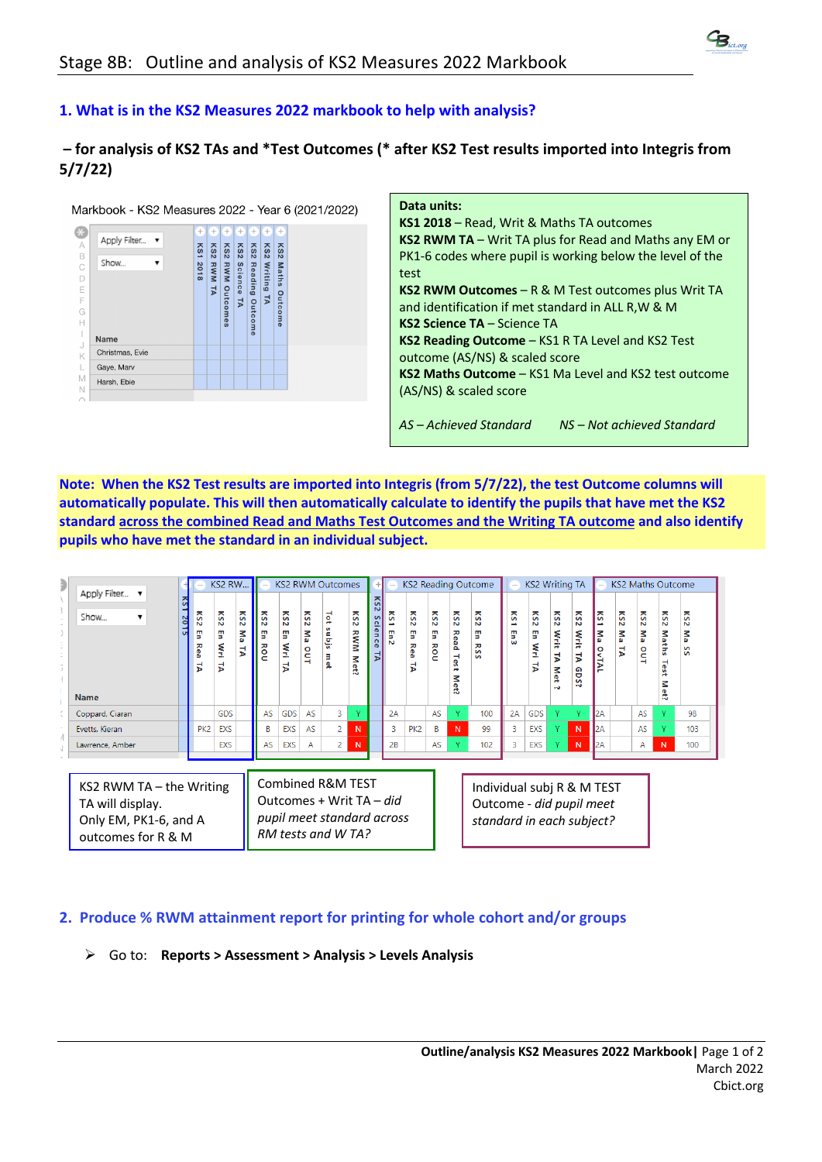

## **1. What is in the KS2 Measures 2022 markbook to help with analysis?**

## **– for analysis of KS2 TAs and \*Test Outcomes (\* after KS2 Test results imported into Integris from 5/7/22)**

Markbook - KS2 Measures 2022 - Year 6 (2021/2022)

| X         |                 | $^{+}$   | ÷          | $^{+}$          | ÷       | $^{+}$  | $^{+}$  | $^{+}$          |  |
|-----------|-----------------|----------|------------|-----------------|---------|---------|---------|-----------------|--|
| $\forall$ | Apply Filter v  |          |            |                 |         |         |         |                 |  |
| B         |                 | KS1      | $K$ S2     | KS <sub>2</sub> | KS2     | KS2     | KS2     | K <sub>S2</sub> |  |
| C         | Show            | 201      |            |                 |         |         |         |                 |  |
| D         |                 | $\infty$ | <b>RWM</b> | <b>RWM</b>      |         |         | Writing | <b>Maths</b>    |  |
| E         |                 |          | ゴ          |                 | Science | Reading |         |                 |  |
| F         |                 |          |            |                 | 2       |         | ピ       |                 |  |
| G         |                 |          |            | <b>Outcomes</b> |         | Outcome |         | Outcome         |  |
| Н         |                 |          |            |                 |         |         |         |                 |  |
|           | Name            |          |            |                 |         |         |         |                 |  |
| J         | Christmas, Evie |          |            |                 |         |         |         |                 |  |
| K         |                 |          |            |                 |         |         |         |                 |  |
| L         | Gaye, Marv      |          |            |                 |         |         |         |                 |  |
| M         | Harsh, Ebie     |          |            |                 |         |         |         |                 |  |
| N         |                 |          |            |                 |         |         |         |                 |  |
|           |                 |          |            |                 |         |         |         |                 |  |

| Data units:                                                   |
|---------------------------------------------------------------|
| KS1 2018 – Read, Writ & Maths TA outcomes                     |
| <b>KS2 RWM TA</b> – Writ TA plus for Read and Maths any EM or |
| PK1-6 codes where pupil is working below the level of the     |
| test                                                          |
| KS2 RWM Outcomes $- R & M$ Test outcomes plus Writ TA         |
| and identification if met standard in ALL R, W & M            |
| <b>KS2 Science TA – Science TA</b>                            |
| <b>KS2 Reading Outcome</b> – KS1 R TA Level and KS2 Test      |
| outcome (AS/NS) & scaled score                                |
| <b>KS2 Maths Outcome - KS1 Ma Level and KS2 test outcome</b>  |
| (AS/NS) & scaled score                                        |
|                                                               |
| AS-Achieved Standard<br>NS-Not achieved Standard              |

**Note: When the KS2 Test results are imported into Integris (from 5/7/22), the test Outcome columns will automatically populate. This will then automatically calculate to identify the pupils that have met the KS2 standard across the combined Read and Maths Test Outcomes and the Writing TA outcome and also identify pupils who have met the standard in an individual subject.**

| Apply Filter<br>$\overline{\phantom{a}}$                                                      |        |                                                        | KS2 RW                     |                        |                                    |                       |                                     | <b>KS2 RWM Outcomes</b>                                                                           |                              |                                                                              |                       |                              |                                           |                                                                   | <b>KS2 Reading Outcome</b>                                                          |                       | <b>KS2 Writing TA</b> |                                  |                                                |                                                     | <b>KS2 Maths Outcome</b>  |                    |                                                         |                                  |
|-----------------------------------------------------------------------------------------------|--------|--------------------------------------------------------|----------------------------|------------------------|------------------------------------|-----------------------|-------------------------------------|---------------------------------------------------------------------------------------------------|------------------------------|------------------------------------------------------------------------------|-----------------------|------------------------------|-------------------------------------------|-------------------------------------------------------------------|-------------------------------------------------------------------------------------|-----------------------|-----------------------|----------------------------------|------------------------------------------------|-----------------------------------------------------|---------------------------|--------------------|---------------------------------------------------------|----------------------------------|
| Show<br>▼<br><b>Name</b>                                                                      | a<br>ă | 줐<br>$\mathbf{v}$<br>m<br>5<br>ᄍ<br>Φ<br>$\alpha$<br>5 | 줐<br>N<br>m<br>э<br>Š<br>岀 | 2<br>N<br>ξă<br>٠<br>ъ | 5<br>$\mathbf{v}$<br>m<br>э<br>Rou | 줐<br>Z<br>Ţ<br>Ş<br>₹ | ŠΣ<br><b>N</b><br>ξă<br><u>o</u> ut | 럷<br>siqns<br>ዔ                                                                                   | 5<br>N<br><b>RWM</b><br>Met? | $\overline{a}$<br>S<br>$\Omega$<br>$\Phi$<br>э<br>$\Omega$<br>$\sigma$<br>51 | 줐<br>∸<br>m<br>ь<br>N | S<br>N<br>m<br>ь<br>Rea<br>ξ | 5<br>$\mathbf{v}$<br>m<br>э<br><b>Rou</b> | 줐<br>N<br>ᆽ<br>pea<br>$\overline{s}$<br>$\rightarrow$<br>z<br>et? | S<br>N<br>m<br>5<br>$\overline{\mathbf{x}}$<br>Ŝ.<br>S                              | 줐<br>∸<br>m<br>ь<br>ŵ | S<br>N<br>g<br>Ş<br>5 | 5<br>2<br>Writ<br>Þ,<br>Met<br>w | ŠΣ<br>$\mathbf{v}$<br>Writ<br>5<br>ၛ<br>$\sim$ | 5<br>$\overline{\phantom{0}}$<br>Μa<br><b>OVTAL</b> | 2<br>Z<br>Na<br>$\vec{p}$ | る<br>N<br>Š<br>out | S<br>$\mathbf{v}$<br><b>Maths</b><br>Tes<br>ä<br>z<br>å | 2<br>$\mathbf{v}$<br>Š<br>S<br>S |
| Coppard, Ciaran                                                                               |        |                                                        | <b>GDS</b>                 |                        | AS                                 | GDS                   | AS                                  | 3                                                                                                 |                              |                                                                              | 2A                    |                              | AS                                        | v.                                                                | 100                                                                                 | 2A                    | GDS                   | Y.                               | V                                              | l2A                                                 |                           | AS                 | Y.                                                      | 98                               |
| Evetts, Kieran                                                                                |        | PK <sub>2</sub>                                        | EXS                        |                        | B                                  | EXS                   | AS                                  | 2                                                                                                 | N                            |                                                                              | 3                     | PK <sub>2</sub>              | B                                         | N                                                                 | 99                                                                                  | 3                     | EXS                   | Y.                               | N                                              | 2A                                                  |                           | AS                 | Y.                                                      | 103                              |
| Lawrence, Amber                                                                               |        |                                                        | EXS                        |                        | AS                                 | EXS                   | A                                   | 2                                                                                                 | N                            |                                                                              | 2B                    |                              | AS                                        |                                                                   | 102                                                                                 | 3                     | EXS                   | Y.                               | N                                              | 2А                                                  |                           | A                  | N                                                       | 100                              |
| KS2 RWM TA $-$ the Writing<br>TA will display.<br>Only EM, PK1-6, and A<br>outcomes for R & M |        |                                                        |                            |                        |                                    |                       |                                     | Combined R&M TEST<br>Outcomes + Writ TA – did<br>pupil meet standard across<br>RM tests and W TA? |                              |                                                                              |                       |                              |                                           |                                                                   | Individual subj R & M TEST<br>Outcome - did pupil meet<br>standard in each subject? |                       |                       |                                  |                                                |                                                     |                           |                    |                                                         |                                  |

## **2. Produce % RWM attainment report for printing for whole cohort and/or groups**

Ø Go to: **Reports > Assessment > Analysis > Levels Analysis**